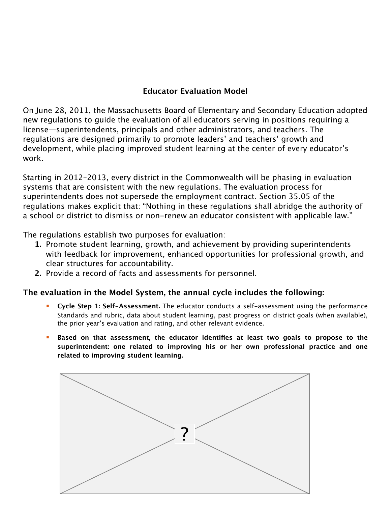## **Educator Evaluation Model**

On June 28, 2011, the Massachusetts Board of Elementary and Secondary Education adopted new regulations to guide the evaluation of all educators serving in positions requiring a license—superintendents, principals and other administrators, and teachers. The regulations are designed primarily to promote leaders' and teachers' growth and development, while placing improved student learning at the center of every educator's work.

Starting in 2012–2013, every district in the Commonwealth will be phasing in evaluation systems that are consistent with the new regulations. The evaluation process for superintendents does not supersede the employment contract. Section 35.05 of the regulations makes explicit that: "Nothing in these regulations shall abridge the authority of a school or district to dismiss or non-renew an educator consistent with applicable law."

The regulations establish two purposes for evaluation:

- **1.** Promote student learning, growth, and achievement by providing superintendents with feedback for improvement, enhanced opportunities for professional growth, and clear structures for accountability.
- **2.** Provide a record of facts and assessments for personnel.

## **The evaluation in the Model System, the annual cycle includes the following:**

- **Cycle Step 1: Self-Assessment.** The educator conducts a self-assessment using the performance Standards and rubric, data about student learning, past progress on district goals (when available), the prior year's evaluation and rating, and other relevant evidence.
- **Based on that assessment, the educator identifies at least two goals to propose to the superintendent: one related to improving his or her own professional practice and one related to improving student learning.**

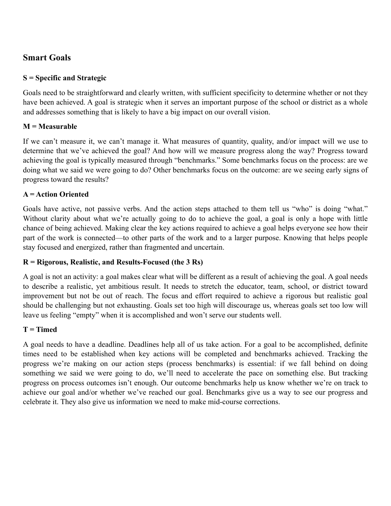## **Smart Goals**

#### **S = Specific and Strategic**

Goals need to be straightforward and clearly written, with sufficient specificity to determine whether or not they have been achieved. A goal is strategic when it serves an important purpose of the school or district as a whole and addresses something that is likely to have a big impact on our overall vision.

#### **M = Measurable**

If we can't measure it, we can't manage it. What measures of quantity, quality, and/or impact will we use to determine that we've achieved the goal? And how will we measure progress along the way? Progress toward achieving the goal is typically measured through "benchmarks." Some benchmarks focus on the process: are we doing what we said we were going to do? Other benchmarks focus on the outcome: are we seeing early signs of progress toward the results?

#### **A = Action Oriented**

Goals have active, not passive verbs. And the action steps attached to them tell us "who" is doing "what." Without clarity about what we're actually going to do to achieve the goal, a goal is only a hope with little chance of being achieved. Making clear the key actions required to achieve a goal helps everyone see how their part of the work is connected—to other parts of the work and to a larger purpose. Knowing that helps people stay focused and energized, rather than fragmented and uncertain.

#### **R = Rigorous, Realistic, and Results-Focused (the 3 Rs)**

A goal is not an activity: a goal makes clear what will be different as a result of achieving the goal. A goal needs to describe a realistic, yet ambitious result. It needs to stretch the educator, team, school, or district toward improvement but not be out of reach. The focus and effort required to achieve a rigorous but realistic goal should be challenging but not exhausting. Goals set too high will discourage us, whereas goals set too low will leave us feeling "empty" when it is accomplished and won't serve our students well.

#### **T = Timed**

A goal needs to have a deadline. Deadlines help all of us take action. For a goal to be accomplished, definite times need to be established when key actions will be completed and benchmarks achieved. Tracking the progress we're making on our action steps (process benchmarks) is essential: if we fall behind on doing something we said we were going to do, we'll need to accelerate the pace on something else. But tracking progress on process outcomes isn't enough. Our outcome benchmarks help us know whether we're on track to achieve our goal and/or whether we've reached our goal. Benchmarks give us a way to see our progress and celebrate it. They also give us information we need to make mid-course corrections.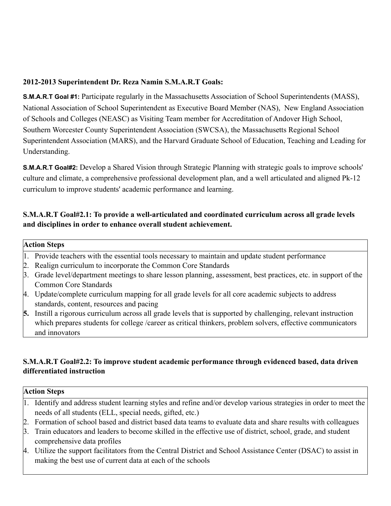#### **2012-2013 Superintendent Dr. Reza Namin S.M.A.R.T Goals:**

**S.M.A.R.T Goal #1:** Participate regularly in the Massachusetts Association of School Superintendents (MASS), National Association of School Superintendent as Executive Board Member (NAS), New England Association of Schools and Colleges (NEASC) as Visiting Team member for Accreditation of Andover High School, Southern Worcester County Superintendent Association (SWCSA), the Massachusetts Regional School Superintendent Association (MARS), and the Harvard Graduate School of Education, Teaching and Leading for Understanding.

**S.M.A.R.T Goal#2:** Develop a Shared Vision through Strategic Planning with strategic goals to improve schools' culture and climate, a comprehensive professional development plan, and a well articulated and aligned Pk-12 curriculum to improve students' academic performance and learning.

#### **S.M.A.R.T Goal#2.1: To provide a well-articulated and coordinated curriculum across all grade levels and disciplines in order to enhance overall student achievement.**

#### **Action Steps**

- 1. Provide teachers with the essential tools necessary to maintain and update student performance
- 2. Realign curriculum to incorporate the Common Core Standards
- 3. Grade level/department meetings to share lesson planning, assessment, best practices, etc. in support of the Common Core Standards
- 4. Update/complete curriculum mapping for all grade levels for all core academic subjects to address standards, content, resources and pacing
- **5.** Instill a rigorous curriculum across all grade levels that is supported by challenging, relevant instruction which prepares students for college /career as critical thinkers, problem solvers, effective communicators and innovators

#### **S.M.A.R.T Goal#2.2: To improve student academic performance through evidenced based, data driven differentiated instruction**

| <b>Action Steps</b> |                                                                                                                |
|---------------------|----------------------------------------------------------------------------------------------------------------|
| 1.                  | Identify and address student learning styles and refine and/or develop various strategies in order to meet the |
|                     | needs of all students (ELL, special needs, gifted, etc.)                                                       |
|                     | 2. Formation of school based and district based data teams to evaluate data and share results with colleagues  |
|                     | 3. Train educators and leaders to become skilled in the effective use of district, school, grade, and student  |
|                     | comprehensive data profiles                                                                                    |
|                     | 4. Utilize the support facilitators from the Central District and School Assistance Center (DSAC) to assist in |
|                     | making the best use of current data at each of the schools                                                     |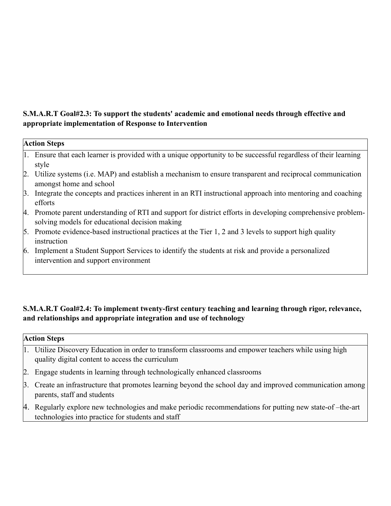#### **S.M.A.R.T Goal#2.3: To support the students' academic and emotional needs through effective and appropriate implementation of Response to Intervention**

| <b>Action Steps</b> |                                                                                                                                                             |  |
|---------------------|-------------------------------------------------------------------------------------------------------------------------------------------------------------|--|
|                     | 1. Ensure that each learner is provided with a unique opportunity to be successful regardless of their learning<br>style                                    |  |
|                     | 2. Utilize systems (i.e. MAP) and establish a mechanism to ensure transparent and reciprocal communication<br>amongst home and school                       |  |
| 3.                  | Integrate the concepts and practices inherent in an RTI instructional approach into mentoring and coaching<br>efforts                                       |  |
| 4.                  | Promote parent understanding of RTI and support for district efforts in developing comprehensive problem-<br>solving models for educational decision making |  |
|                     | 5. Promote evidence-based instructional practices at the Tier 1, 2 and 3 levels to support high quality<br>instruction                                      |  |
| 6.                  | Implement a Student Support Services to identify the students at risk and provide a personalized<br>intervention and support environment                    |  |

### **S.M.A.R.T Goal#2.4: To implement twenty-first century teaching and learning through rigor, relevance, and relationships and appropriate integration and use of technology**

#### **Action Steps**

- 1. Utilize Discovery Education in order to transform classrooms and empower teachers while using high quality digital content to access the curriculum
- 2. Engage students in learning through technologically enhanced classrooms
- 3. Create an infrastructure that promotes learning beyond the school day and improved communication among parents, staff and students
- 4. Regularly explore new technologies and make periodic recommendations for putting new state-of –the-art technologies into practice for students and staff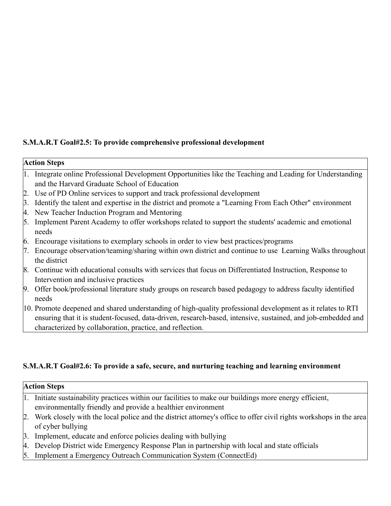### **S.M.A.R.T Goal#2.5: To provide comprehensive professional development**

| <b>Action Steps</b> |                                                                                                                                                                                                                                                                                          |
|---------------------|------------------------------------------------------------------------------------------------------------------------------------------------------------------------------------------------------------------------------------------------------------------------------------------|
|                     | 1. Integrate online Professional Development Opportunities like the Teaching and Leading for Understanding<br>and the Harvard Graduate School of Education                                                                                                                               |
|                     | 2. Use of PD Online services to support and track professional development                                                                                                                                                                                                               |
|                     | 3. Identify the talent and expertise in the district and promote a "Learning From Each Other" environment                                                                                                                                                                                |
|                     | 4. New Teacher Induction Program and Mentoring                                                                                                                                                                                                                                           |
|                     | 5. Implement Parent Academy to offer workshops related to support the students' academic and emotional<br>needs                                                                                                                                                                          |
|                     | 6. Encourage visitations to exemplary schools in order to view best practices/programs                                                                                                                                                                                                   |
|                     | 7. Encourage observation/teaming/sharing within own district and continue to use Learning Walks throughout<br>the district                                                                                                                                                               |
|                     | 8. Continue with educational consults with services that focus on Differentiated Instruction, Response to<br>Intervention and inclusive practices                                                                                                                                        |
|                     | 9. Offer book/professional literature study groups on research based pedagogy to address faculty identified<br>needs                                                                                                                                                                     |
|                     | 10. Promote deepened and shared understanding of high-quality professional development as it relates to RTI<br>ensuring that it is student-focused, data-driven, research-based, intensive, sustained, and job-embedded and<br>characterized by collaboration, practice, and reflection. |

## **S.M.A.R.T Goal#2.6: To provide a safe, secure, and nurturing teaching and learning environment**

#### **Action Steps**

- 1. Initiate sustainability practices within our facilities to make our buildings more energy efficient, environmentally friendly and provide a healthier environment
- 2. Work closely with the local police and the district attorney's office to offer civil rights workshops in the area of cyber bullying
- 3. Implement, educate and enforce policies dealing with bullying
- 4. Develop District wide Emergency Response Plan in partnership with local and state officials
- 5. Implement a Emergency Outreach Communication System (ConnectEd)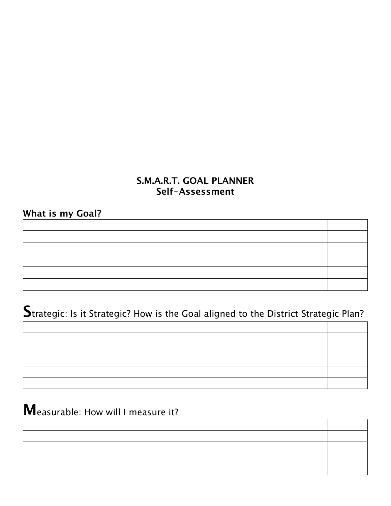## **S.M.A.R.T. GOAL PLANNER Self-Assessment**

**What is my Goal?**

**S**trategic: Is it Strategic? How is the Goal aligned to the District Strategic Plan?

**M**easurable: How will I measure it?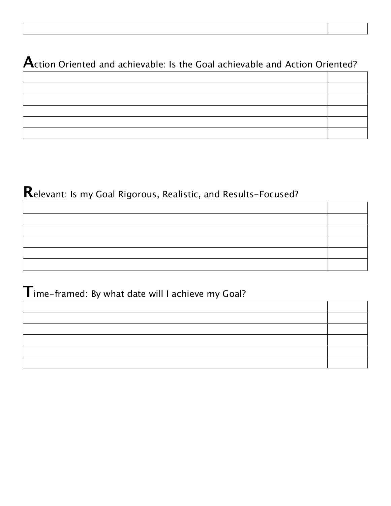## **A**ction Oriented and achievable: Is the Goal achievable and Action Oriented?

# **R**elevant: Is my Goal Rigorous, Realistic, and Results-Focused?

## **T**ime-framed: By what date will I achieve my Goal?